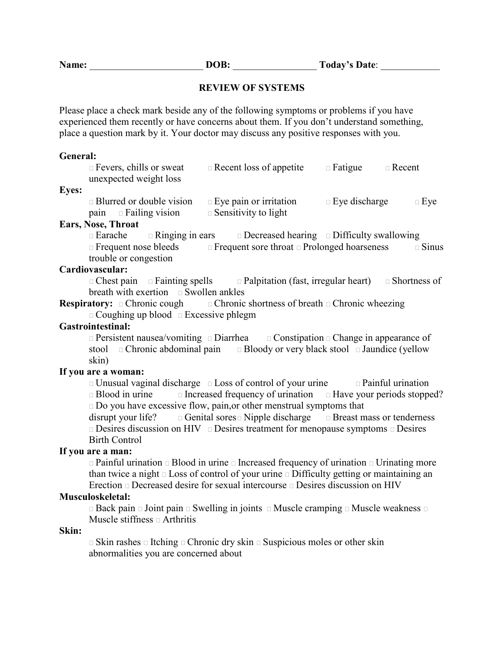### **REVIEW OF SYSTEMS**

Please place a check mark beside any of the following symptoms or problems if you have experienced them recently or have concerns about them. If you don't understand something, place a question mark by it. Your doctor may discuss any positive responses with you.

#### **General:**

| Fevers, chills or sweat                                                               | Recent loss of appetite                                                     | Fatigue Recent |       |
|---------------------------------------------------------------------------------------|-----------------------------------------------------------------------------|----------------|-------|
| unexpected weight loss                                                                |                                                                             |                |       |
| <b>Eyes:</b>                                                                          |                                                                             |                |       |
| Blurred or double vision                                                              | Eye pain or irritation                                                      | Eye discharge  | Eye   |
| pain Failing vision                                                                   | Sensitivity to light                                                        |                |       |
| Ears, Nose, Throat                                                                    |                                                                             |                |       |
| Earache                                                                               | Ringing in ears Decreased hearing Difficulty swallowing                     |                |       |
|                                                                                       | Frequent nose bleeds Frequent sore throat Prolonged hoarseness              |                | Sinus |
| trouble or congestion                                                                 |                                                                             |                |       |
| Cardiovascular:                                                                       |                                                                             |                |       |
|                                                                                       | Chest pain Fainting spells Palpitation (fast, irregular heart) Shortness of |                |       |
| breath with exertion Swollen ankles                                                   |                                                                             |                |       |
| <b>Respiratory:</b> Chronic cough Chronic shortness of breath Chronic wheezing        |                                                                             |                |       |
| Coughing up blood Excessive phlegm                                                    |                                                                             |                |       |
| <b>Gastrointestinal:</b>                                                              |                                                                             |                |       |
|                                                                                       | Persistent nausea/vomiting Diarrhea Constipation Change in appearance of    |                |       |
| stool                                                                                 | Chronic abdominal pain Bloody or very black stool Jaundice (yellow          |                |       |
| skin)                                                                                 |                                                                             |                |       |
| If you are a woman:                                                                   |                                                                             |                |       |
| Unusual vaginal discharge Loss of control of your urine Painful urination             |                                                                             |                |       |
| Blood in urine Increased frequency of urination Have your periods stopped?            |                                                                             |                |       |
| Do you have excessive flow, pain, or other menstrual symptoms that                    |                                                                             |                |       |
| disrupt your life? Genital sores Nipple discharge Breast mass or tenderness           |                                                                             |                |       |
|                                                                                       | Desires discussion on HIV Desires treatment for menopause symptoms Desires  |                |       |
| <b>Birth Control</b>                                                                  |                                                                             |                |       |
| If you are a man:                                                                     |                                                                             |                |       |
| Painful urination Blood in urine Increased frequency of urination Urinating more      |                                                                             |                |       |
| than twice a night Loss of control of your urine Difficulty getting or maintaining an |                                                                             |                |       |
|                                                                                       | Erection Decreased desire for sexual intercourse Desires discussion on HIV  |                |       |
| Musculoskeletal:                                                                      |                                                                             |                |       |
| Back pain Joint pain Swelling in joints Muscle cramping Muscle weakness               |                                                                             |                |       |
| Muscle stiffness Arthritis                                                            |                                                                             |                |       |
| Skin:                                                                                 |                                                                             |                |       |
| Skin rashes Itching Chronic dry skin Suspicious moles or other skin                   |                                                                             |                |       |
| abnormalities you are concerned about                                                 |                                                                             |                |       |